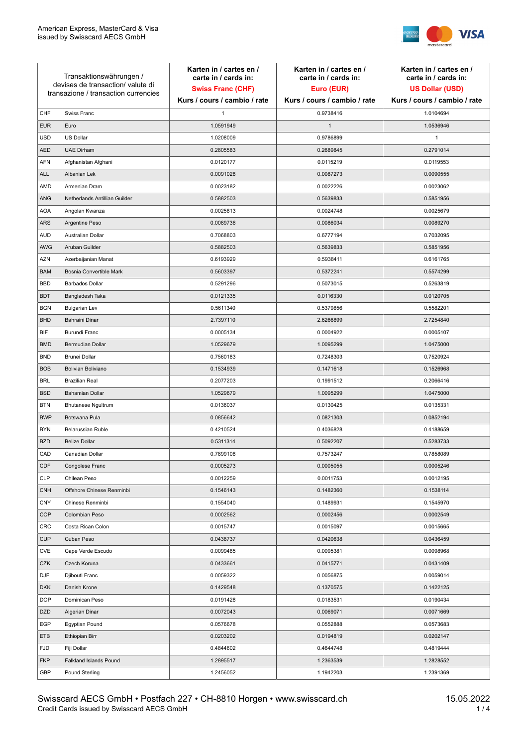

| Transaktionswährungen /<br>devises de transaction/valute di<br>transazione / transaction currencies |                               | Karten in / cartes en /<br>carte in / cards in:<br><b>Swiss Franc (CHF)</b> | Karten in / cartes en /<br>carte in / cards in:<br>Euro (EUR) | Karten in / cartes en /<br>carte in / cards in:<br><b>US Dollar (USD)</b> |
|-----------------------------------------------------------------------------------------------------|-------------------------------|-----------------------------------------------------------------------------|---------------------------------------------------------------|---------------------------------------------------------------------------|
|                                                                                                     |                               | Kurs / cours / cambio / rate                                                | Kurs / cours / cambio / rate                                  | Kurs / cours / cambio / rate                                              |
| CHF                                                                                                 | Swiss Franc                   | 1                                                                           | 0.9738416                                                     | 1.0104694                                                                 |
| <b>EUR</b>                                                                                          | Euro                          | 1.0591949                                                                   | $\mathbf{1}$                                                  | 1.0536946                                                                 |
| <b>USD</b>                                                                                          | US Dollar                     | 1.0208009                                                                   | 0.9786899                                                     | 1                                                                         |
| <b>AED</b>                                                                                          | <b>UAE Dirham</b>             | 0.2805583                                                                   | 0.2689845                                                     | 0.2791014                                                                 |
| <b>AFN</b>                                                                                          | Afghanistan Afghani           | 0.0120177                                                                   | 0.0115219                                                     | 0.0119553                                                                 |
| ALL                                                                                                 | Albanian Lek                  | 0.0091028                                                                   | 0.0087273                                                     | 0.0090555                                                                 |
| AMD                                                                                                 | Armenian Dram                 | 0.0023182                                                                   | 0.0022226                                                     | 0.0023062                                                                 |
| ANG                                                                                                 | Netherlands Antillian Guilder | 0.5882503                                                                   | 0.5639833                                                     | 0.5851956                                                                 |
| <b>AOA</b>                                                                                          | Angolan Kwanza                | 0.0025813                                                                   | 0.0024748                                                     | 0.0025679                                                                 |
| ARS                                                                                                 | Argentine Peso                | 0.0089736                                                                   | 0.0086034                                                     | 0.0089270                                                                 |
| <b>AUD</b>                                                                                          | Australian Dollar             | 0.7068803                                                                   | 0.6777194                                                     | 0.7032095                                                                 |
| AWG                                                                                                 | Aruban Guilder                | 0.5882503                                                                   | 0.5639833                                                     | 0.5851956                                                                 |
| AZN                                                                                                 | Azerbaijanian Manat           | 0.6193929                                                                   | 0.5938411                                                     | 0.6161765                                                                 |
| <b>BAM</b>                                                                                          | Bosnia Convertible Mark       | 0.5603397                                                                   | 0.5372241                                                     | 0.5574299                                                                 |
| <b>BBD</b>                                                                                          | <b>Barbados Dollar</b>        | 0.5291296                                                                   | 0.5073015                                                     | 0.5263819                                                                 |
| <b>BDT</b>                                                                                          | Bangladesh Taka               | 0.0121335                                                                   | 0.0116330                                                     | 0.0120705                                                                 |
| <b>BGN</b>                                                                                          | <b>Bulgarian Lev</b>          | 0.5611340                                                                   | 0.5379856                                                     | 0.5582201                                                                 |
| <b>BHD</b>                                                                                          | Bahraini Dinar                | 2.7397110                                                                   | 2.6266899                                                     | 2.7254840                                                                 |
| BIF                                                                                                 | Burundi Franc                 | 0.0005134                                                                   | 0.0004922                                                     | 0.0005107                                                                 |
| <b>BMD</b>                                                                                          | Bermudian Dollar              | 1.0529679                                                                   | 1.0095299                                                     | 1.0475000                                                                 |
| <b>BND</b>                                                                                          | <b>Brunei Dollar</b>          | 0.7560183                                                                   | 0.7248303                                                     | 0.7520924                                                                 |
| <b>BOB</b>                                                                                          | Bolivian Boliviano            | 0.1534939                                                                   | 0.1471618                                                     | 0.1526968                                                                 |
| <b>BRL</b>                                                                                          | <b>Brazilian Real</b>         | 0.2077203                                                                   | 0.1991512                                                     | 0.2066416                                                                 |
| <b>BSD</b>                                                                                          | <b>Bahamian Dollar</b>        | 1.0529679                                                                   | 1.0095299                                                     | 1.0475000                                                                 |
| <b>BTN</b>                                                                                          | <b>Bhutanese Ngultrum</b>     | 0.0136037                                                                   | 0.0130425                                                     | 0.0135331                                                                 |
| <b>BWP</b>                                                                                          | Botswana Pula                 | 0.0856642                                                                   | 0.0821303                                                     | 0.0852194                                                                 |
| <b>BYN</b>                                                                                          | Belarussian Ruble             | 0.4210524                                                                   | 0.4036828                                                     | 0.4188659                                                                 |
| <b>BZD</b>                                                                                          | <b>Belize Dollar</b>          | 0.5311314                                                                   | 0.5092207                                                     | 0.5283733                                                                 |
| CAD                                                                                                 | Canadian Dollar               | 0.7899108                                                                   | 0.7573247                                                     | 0.7858089                                                                 |
| CDF                                                                                                 | Congolese Franc               | 0.0005273                                                                   | 0.0005055                                                     | 0.0005246                                                                 |
| <b>CLP</b>                                                                                          | Chilean Peso                  | 0.0012259                                                                   | 0.0011753                                                     | 0.0012195                                                                 |
| <b>CNH</b>                                                                                          | Offshore Chinese Renminbi     | 0.1546143                                                                   | 0.1482360                                                     | 0.1538114                                                                 |
| <b>CNY</b>                                                                                          | Chinese Renminbi              | 0.1554040                                                                   | 0.1489931                                                     | 0.1545970                                                                 |
| <b>COP</b>                                                                                          | Colombian Peso                | 0.0002562                                                                   | 0.0002456                                                     | 0.0002549                                                                 |
| CRC                                                                                                 | Costa Rican Colon             | 0.0015747                                                                   | 0.0015097                                                     | 0.0015665                                                                 |
| <b>CUP</b>                                                                                          | Cuban Peso                    | 0.0438737                                                                   | 0.0420638                                                     | 0.0436459                                                                 |
| CVE                                                                                                 | Cape Verde Escudo             | 0.0099485                                                                   | 0.0095381                                                     | 0.0098968                                                                 |
| CZK                                                                                                 | Czech Koruna                  | 0.0433661                                                                   | 0.0415771                                                     | 0.0431409                                                                 |
| <b>DJF</b>                                                                                          | Djibouti Franc                | 0.0059322                                                                   | 0.0056875                                                     | 0.0059014                                                                 |
| <b>DKK</b>                                                                                          | Danish Krone                  | 0.1429548                                                                   | 0.1370575                                                     | 0.1422125                                                                 |
| <b>DOP</b>                                                                                          | Dominican Peso                | 0.0191428                                                                   | 0.0183531                                                     | 0.0190434                                                                 |
| <b>DZD</b>                                                                                          | Algerian Dinar                | 0.0072043                                                                   | 0.0069071                                                     | 0.0071669                                                                 |
| EGP                                                                                                 | Egyptian Pound                | 0.0576678                                                                   | 0.0552888                                                     | 0.0573683                                                                 |
| ETB                                                                                                 | Ethiopian Birr                | 0.0203202                                                                   | 0.0194819                                                     | 0.0202147                                                                 |
| <b>FJD</b>                                                                                          | Fiji Dollar                   | 0.4844602                                                                   | 0.4644748                                                     | 0.4819444                                                                 |
| <b>FKP</b>                                                                                          | Falkland Islands Pound        | 1.2895517                                                                   | 1.2363539                                                     | 1.2828552                                                                 |
| GBP                                                                                                 | Pound Sterling                | 1.2456052                                                                   | 1.1942203                                                     | 1.2391369                                                                 |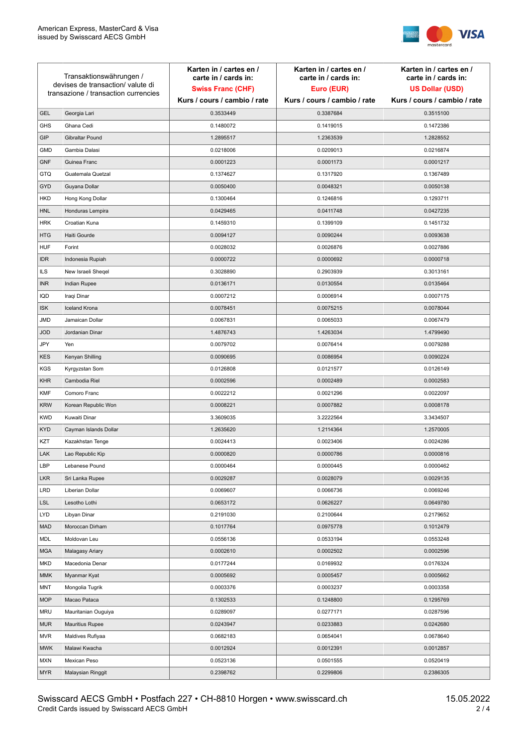

| Transaktionswährungen /<br>devises de transaction/ valute di<br>transazione / transaction currencies |                        | Karten in / cartes en /<br>carte in / cards in: | Karten in / cartes en /<br>carte in / cards in: | Karten in / cartes en /<br>carte in / cards in: |
|------------------------------------------------------------------------------------------------------|------------------------|-------------------------------------------------|-------------------------------------------------|-------------------------------------------------|
|                                                                                                      |                        | <b>Swiss Franc (CHF)</b>                        | Euro (EUR)                                      | <b>US Dollar (USD)</b>                          |
|                                                                                                      |                        | Kurs / cours / cambio / rate                    | Kurs / cours / cambio / rate                    | Kurs / cours / cambio / rate                    |
| <b>GEL</b>                                                                                           | Georgia Lari           | 0.3533449                                       | 0.3387684                                       | 0.3515100                                       |
| <b>GHS</b>                                                                                           | Ghana Cedi             | 0.1480072                                       | 0.1419015                                       | 0.1472386                                       |
| GIP                                                                                                  | Gibraltar Pound        | 1.2895517                                       | 1.2363539                                       | 1.2828552                                       |
| <b>GMD</b>                                                                                           | Gambia Dalasi          | 0.0218006                                       | 0.0209013                                       | 0.0216874                                       |
| <b>GNF</b>                                                                                           | Guinea Franc           | 0.0001223                                       | 0.0001173                                       | 0.0001217                                       |
| GTQ                                                                                                  | Guatemala Quetzal      | 0.1374627                                       | 0.1317920                                       | 0.1367489                                       |
| <b>GYD</b>                                                                                           | Guyana Dollar          | 0.0050400                                       | 0.0048321                                       | 0.0050138                                       |
| <b>HKD</b>                                                                                           | Hong Kong Dollar       | 0.1300464                                       | 0.1246816                                       | 0.1293711                                       |
| <b>HNL</b>                                                                                           | Honduras Lempira       | 0.0429465                                       | 0.0411748                                       | 0.0427235                                       |
| <b>HRK</b>                                                                                           | Croatian Kuna          | 0.1459310                                       | 0.1399109                                       | 0.1451732                                       |
| <b>HTG</b>                                                                                           | Haiti Gourde           | 0.0094127                                       | 0.0090244                                       | 0.0093638                                       |
| <b>HUF</b>                                                                                           | Forint                 | 0.0028032                                       | 0.0026876                                       | 0.0027886                                       |
| <b>IDR</b>                                                                                           | Indonesia Rupiah       | 0.0000722                                       | 0.0000692                                       | 0.0000718                                       |
| <b>ILS</b>                                                                                           | New Israeli Sheqel     | 0.3028890                                       | 0.2903939                                       | 0.3013161                                       |
| <b>INR</b>                                                                                           | Indian Rupee           | 0.0136171                                       | 0.0130554                                       | 0.0135464                                       |
| IQD                                                                                                  | Iraqi Dinar            | 0.0007212                                       | 0.0006914                                       | 0.0007175                                       |
| <b>ISK</b>                                                                                           | <b>Iceland Krona</b>   | 0.0078451                                       | 0.0075215                                       | 0.0078044                                       |
| JMD                                                                                                  | Jamaican Dollar        | 0.0067831                                       | 0.0065033                                       | 0.0067479                                       |
| <b>JOD</b>                                                                                           | Jordanian Dinar        | 1.4876743                                       | 1.4263034                                       | 1.4799490                                       |
| JPY                                                                                                  | Yen                    | 0.0079702                                       | 0.0076414                                       | 0.0079288                                       |
| KES                                                                                                  | Kenyan Shilling        | 0.0090695                                       | 0.0086954                                       | 0.0090224                                       |
| <b>KGS</b>                                                                                           | Kyrgyzstan Som         | 0.0126808                                       | 0.0121577                                       | 0.0126149                                       |
| <b>KHR</b>                                                                                           | Cambodia Riel          | 0.0002596                                       | 0.0002489                                       | 0.0002583                                       |
| <b>KMF</b>                                                                                           | Comoro Franc           | 0.0022212                                       | 0.0021296                                       | 0.0022097                                       |
| <b>KRW</b>                                                                                           | Korean Republic Won    | 0.0008221                                       | 0.0007882                                       | 0.0008178                                       |
| <b>KWD</b>                                                                                           | Kuwaiti Dinar          | 3.3609035                                       | 3.2222564                                       | 3.3434507                                       |
| <b>KYD</b>                                                                                           | Cayman Islands Dollar  | 1.2635620                                       | 1.2114364                                       | 1.2570005                                       |
| KZT                                                                                                  | Kazakhstan Tenge       | 0.0024413                                       | 0.0023406                                       | 0.0024286                                       |
| LAK                                                                                                  | Lao Republic Kip       | 0.0000820                                       | 0.0000786                                       | 0.0000816                                       |
| LBP                                                                                                  | Lebanese Pound         | 0.0000464                                       | 0.0000445                                       | 0.0000462                                       |
| <b>LKR</b>                                                                                           | Sri Lanka Rupee        | 0.0029287                                       | 0.0028079                                       | 0.0029135                                       |
| <b>LRD</b>                                                                                           | Liberian Dollar        | 0.0069607                                       | 0.0066736                                       | 0.0069246                                       |
| <b>LSL</b>                                                                                           | Lesotho Lothi          | 0.0653172                                       | 0.0626227                                       | 0.0649780                                       |
| LYD                                                                                                  | Libyan Dinar           | 0.2191030                                       | 0.2100644                                       | 0.2179652                                       |
| <b>MAD</b>                                                                                           | Moroccan Dirham        | 0.1017764                                       | 0.0975778                                       | 0.1012479                                       |
| MDL                                                                                                  | Moldovan Leu           | 0.0556136                                       | 0.0533194                                       | 0.0553248                                       |
| <b>MGA</b>                                                                                           | Malagasy Ariary        | 0.0002610                                       | 0.0002502                                       | 0.0002596                                       |
| <b>MKD</b>                                                                                           | Macedonia Denar        | 0.0177244                                       | 0.0169932                                       | 0.0176324                                       |
| MMK                                                                                                  | Myanmar Kyat           | 0.0005692                                       | 0.0005457                                       | 0.0005662                                       |
| MNT                                                                                                  | Mongolia Tugrik        | 0.0003376                                       | 0.0003237                                       | 0.0003358                                       |
| <b>MOP</b>                                                                                           | Macao Pataca           | 0.1302533                                       | 0.1248800                                       | 0.1295769                                       |
| <b>MRU</b>                                                                                           | Mauritanian Ouguiya    | 0.0289097                                       | 0.0277171                                       | 0.0287596                                       |
| MUR                                                                                                  | <b>Mauritius Rupee</b> | 0.0243947                                       | 0.0233883                                       | 0.0242680                                       |
| <b>MVR</b>                                                                                           | Maldives Rufiyaa       | 0.0682183                                       | 0.0654041                                       | 0.0678640                                       |
| <b>MWK</b>                                                                                           | Malawi Kwacha          | 0.0012924                                       | 0.0012391                                       | 0.0012857                                       |
| <b>MXN</b>                                                                                           | Mexican Peso           | 0.0523136                                       | 0.0501555                                       | 0.0520419                                       |
| <b>MYR</b>                                                                                           | Malaysian Ringgit      | 0.2398762                                       | 0.2299806                                       | 0.2386305                                       |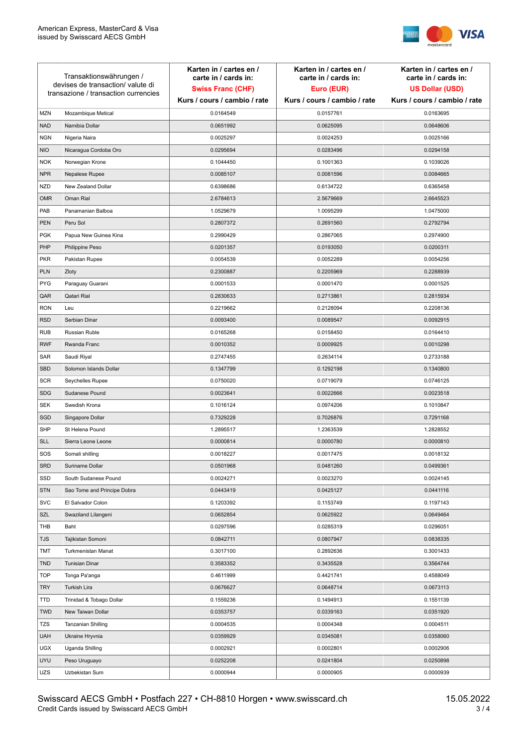

| Transaktionswährungen /<br>devises de transaction/valute di<br>transazione / transaction currencies |                             | Karten in / cartes en /<br>carte in / cards in:<br><b>Swiss Franc (CHF)</b> | Karten in / cartes en /<br>carte in / cards in:<br>Euro (EUR) | Karten in / cartes en /<br>carte in / cards in:<br><b>US Dollar (USD)</b> |
|-----------------------------------------------------------------------------------------------------|-----------------------------|-----------------------------------------------------------------------------|---------------------------------------------------------------|---------------------------------------------------------------------------|
|                                                                                                     |                             | Kurs / cours / cambio / rate                                                | Kurs / cours / cambio / rate                                  | Kurs / cours / cambio / rate                                              |
| <b>MZN</b>                                                                                          | Mozambique Metical          | 0.0164549                                                                   | 0.0157761                                                     | 0.0163695                                                                 |
| <b>NAD</b>                                                                                          | Namibia Dollar              | 0.0651992                                                                   | 0.0625095                                                     | 0.0648606                                                                 |
| <b>NGN</b>                                                                                          | Nigeria Naira               | 0.0025297                                                                   | 0.0024253                                                     | 0.0025166                                                                 |
| <b>NIO</b>                                                                                          | Nicaragua Cordoba Oro       | 0.0295694                                                                   | 0.0283496                                                     | 0.0294158                                                                 |
| <b>NOK</b>                                                                                          | Norwegian Krone             | 0.1044450                                                                   | 0.1001363                                                     | 0.1039026                                                                 |
| <b>NPR</b>                                                                                          | Nepalese Rupee              | 0.0085107                                                                   | 0.0081596                                                     | 0.0084665                                                                 |
| <b>NZD</b>                                                                                          | New Zealand Dollar          | 0.6398686                                                                   | 0.6134722                                                     | 0.6365458                                                                 |
| <b>OMR</b>                                                                                          | Oman Rial                   | 2.6784613                                                                   | 2.5679669                                                     | 2.6645523                                                                 |
| PAB                                                                                                 | Panamanian Balboa           | 1.0529679                                                                   | 1.0095299                                                     | 1.0475000                                                                 |
| PEN                                                                                                 | Peru Sol                    | 0.2807372                                                                   | 0.2691560                                                     | 0.2792794                                                                 |
| <b>PGK</b>                                                                                          | Papua New Guinea Kina       | 0.2990429                                                                   | 0.2867065                                                     | 0.2974900                                                                 |
| PHP                                                                                                 | Philippine Peso             | 0.0201357                                                                   | 0.0193050                                                     | 0.0200311                                                                 |
| <b>PKR</b>                                                                                          | Pakistan Rupee              | 0.0054539                                                                   | 0.0052289                                                     | 0.0054256                                                                 |
| <b>PLN</b>                                                                                          | Zloty                       | 0.2300887                                                                   | 0.2205969                                                     | 0.2288939                                                                 |
| <b>PYG</b>                                                                                          | Paraguay Guarani            | 0.0001533                                                                   | 0.0001470                                                     | 0.0001525                                                                 |
| QAR                                                                                                 | Qatari Rial                 | 0.2830633                                                                   | 0.2713861                                                     | 0.2815934                                                                 |
| <b>RON</b>                                                                                          | Leu                         | 0.2219662                                                                   | 0.2128094                                                     | 0.2208136                                                                 |
| <b>RSD</b>                                                                                          | Serbian Dinar               | 0.0093400                                                                   | 0.0089547                                                     | 0.0092915                                                                 |
| <b>RUB</b>                                                                                          | <b>Russian Ruble</b>        | 0.0165268                                                                   | 0.0158450                                                     | 0.0164410                                                                 |
| <b>RWF</b>                                                                                          | Rwanda Franc                | 0.0010352                                                                   | 0.0009925                                                     | 0.0010298                                                                 |
| SAR                                                                                                 | Saudi Riyal                 | 0.2747455                                                                   | 0.2634114                                                     | 0.2733188                                                                 |
| <b>SBD</b>                                                                                          | Solomon Islands Dollar      | 0.1347799                                                                   | 0.1292198                                                     | 0.1340800                                                                 |
| <b>SCR</b>                                                                                          | Seychelles Rupee            | 0.0750020                                                                   | 0.0719079                                                     | 0.0746125                                                                 |
| <b>SDG</b>                                                                                          | Sudanese Pound              | 0.0023641                                                                   | 0.0022666                                                     | 0.0023518                                                                 |
| <b>SEK</b>                                                                                          | Swedish Krona               | 0.1016124                                                                   | 0.0974206                                                     | 0.1010847                                                                 |
| SGD                                                                                                 | Singapore Dollar            | 0.7329228                                                                   | 0.7026876                                                     | 0.7291168                                                                 |
| <b>SHP</b>                                                                                          | St Helena Pound             | 1.2895517                                                                   | 1.2363539                                                     | 1.2828552                                                                 |
| <b>SLL</b>                                                                                          | Sierra Leone Leone          | 0.0000814                                                                   | 0.0000780                                                     | 0.0000810                                                                 |
| SOS                                                                                                 | Somali shilling             | 0.0018227                                                                   | 0.0017475                                                     | 0.0018132                                                                 |
| <b>SRD</b>                                                                                          | Suriname Dollar             | 0.0501968                                                                   | 0.0481260                                                     | 0.0499361                                                                 |
| SSD                                                                                                 | South Sudanese Pound        | 0.0024271                                                                   | 0.0023270                                                     | 0.0024145                                                                 |
| <b>STN</b>                                                                                          | Sao Tome and Principe Dobra | 0.0443419                                                                   | 0.0425127                                                     | 0.0441116                                                                 |
| <b>SVC</b>                                                                                          | El Salvador Colon           | 0.1203392                                                                   | 0.1153749                                                     | 0.1197143                                                                 |
| SZL                                                                                                 | Swaziland Lilangeni         | 0.0652854                                                                   | 0.0625922                                                     | 0.0649464                                                                 |
| THB                                                                                                 | Baht                        | 0.0297596                                                                   | 0.0285319                                                     | 0.0296051                                                                 |
| <b>TJS</b>                                                                                          | Tajikistan Somoni           | 0.0842711                                                                   | 0.0807947                                                     | 0.0838335                                                                 |
| TMT                                                                                                 | Turkmenistan Manat          | 0.3017100                                                                   | 0.2892636                                                     | 0.3001433                                                                 |
| <b>TND</b>                                                                                          | <b>Tunisian Dinar</b>       | 0.3583352                                                                   | 0.3435528                                                     | 0.3564744                                                                 |
| <b>TOP</b>                                                                                          | Tonga Pa'anga               | 0.4611999                                                                   | 0.4421741                                                     | 0.4588049                                                                 |
| <b>TRY</b>                                                                                          | Turkish Lira                | 0.0676627                                                                   | 0.0648714                                                     | 0.0673113                                                                 |
| TTD                                                                                                 | Trinidad & Tobago Dollar    | 0.1559236                                                                   | 0.1494913                                                     | 0.1551139                                                                 |
| <b>TWD</b>                                                                                          | New Taiwan Dollar           | 0.0353757                                                                   | 0.0339163                                                     | 0.0351920                                                                 |
| TZS                                                                                                 | Tanzanian Shilling          | 0.0004535                                                                   | 0.0004348                                                     | 0.0004511                                                                 |
| <b>UAH</b>                                                                                          | Ukraine Hryvnia             | 0.0359929                                                                   | 0.0345081                                                     | 0.0358060                                                                 |
| <b>UGX</b>                                                                                          | Uganda Shilling             | 0.0002921                                                                   | 0.0002801                                                     | 0.0002906                                                                 |
| <b>UYU</b>                                                                                          | Peso Uruguayo               | 0.0252208                                                                   | 0.0241804                                                     | 0.0250898                                                                 |
| UZS                                                                                                 | Uzbekistan Sum              | 0.0000944                                                                   | 0.0000905                                                     | 0.0000939                                                                 |